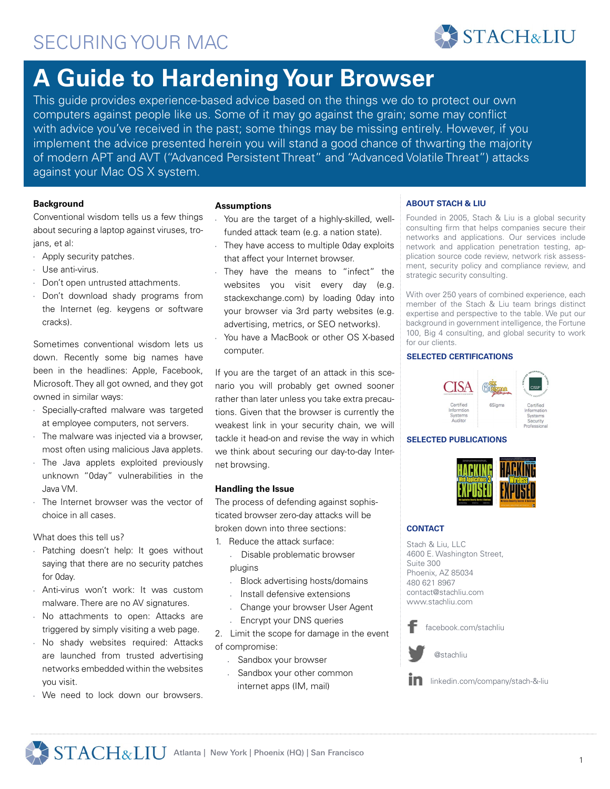# **A Guide to Hardening Your Browser**

This guide provides experience-based advice based on the things we do to protect our own computers against people like us. Some of it may go against the grain; some may conflict with advice you've received in the past; some things may be missing entirely. However, if you implement the advice presented herein you will stand a good chance of thwarting the majority of modern APT and AVT ("Advanced Persistent Threat" and "Advanced Volatile Threat") attacks against your Mac OS X system.

# **Background**

Conventional wisdom tells us a few things about securing a laptop against viruses, trojans, et al:

- • Apply security patches.
- • Use anti-virus.
- • Don't open untrusted attachments.
- • Don't download shady programs from the Internet (eg. keygens or software cracks).

Sometimes conventional wisdom lets us down. Recently some big names have been in the headlines: Apple, Facebook, Microsoft. They all got owned, and they got owned in similar ways:

- • Specially-crafted malware was targeted at employee computers, not servers.
- $\cdot$  The malware was injected via a browser, most often using malicious Java applets.
- The Java applets exploited previously unknown "0day" vulnerabilities in the Java VM.
- The Internet browser was the vector of choice in all cases.

What does this tell us?

- • Patching doesn't help: It goes without saying that there are no security patches for 0day.
- Anti-virus won't work: It was custom malware. There are no AV signatures.
- • No attachments to open: Attacks are triggered by simply visiting a web page.
- • No shady websites required: Attacks are launched from trusted advertising networks embedded within the websites you visit.
- We need to lock down our browsers.

#### **Assumptions**

- You are the target of a highly-skilled, wellfunded attack team (e.g. a nation state).
- They have access to multiple 0day exploits that affect your Internet browser.
- They have the means to "infect" the websites you visit every day (e.g. stackexchange.com) by loading 0day into your browser via 3rd party websites (e.g. advertising, metrics, or SEO networks).
- You have a MacBook or other OS X-based computer.

If you are the target of an attack in this scenario you will probably get owned sooner rather than later unless you take extra precautions. Given that the browser is currently the weakest link in your security chain, we will tackle it head-on and revise the way in which we think about securing our day-to-day Internet browsing.

# **Handling the Issue**

The process of defending against sophisticated browser zero-day attacks will be broken down into three sections:

1. Reduce the attack surface:

- Disable problematic browser plugins
- Block advertising hosts/domains
- Install defensive extensions
- Change your browser User Agent
- Encrypt your DNS queries

2. Limit the scope for damage in the event of compromise:

- Sandbox your browser
- Sandbox your other common internet apps (IM, mail)

# **ABOUT STACH & LIU**

Founded in 2005, Stach & Liu is a global security consulting firm that helps companies secure their networks and applications. Our services include network and application penetration testing, application source code review, network risk assessment, security policy and compliance review, and strategic security consulting.

**STACH&LIU** 

With over 250 years of combined experience, each member of the Stach & Liu team brings distinct expertise and perspective to the table. We put our background in government intelligence, the Fortune 100, Big 4 consulting, and global security to work for our clients.

# **SELECTED CERTIFICATIONS**



#### **SELECTED PUBLICATIONS**



#### **CONTACT**

Stach & Liu, LLC 4600 E. Washington Street, Suite 300 Phoenix, AZ 85034 480 621 8967 contact@stachliu.com www.stachliu.com

facebook.com/stachliu

@stachliu



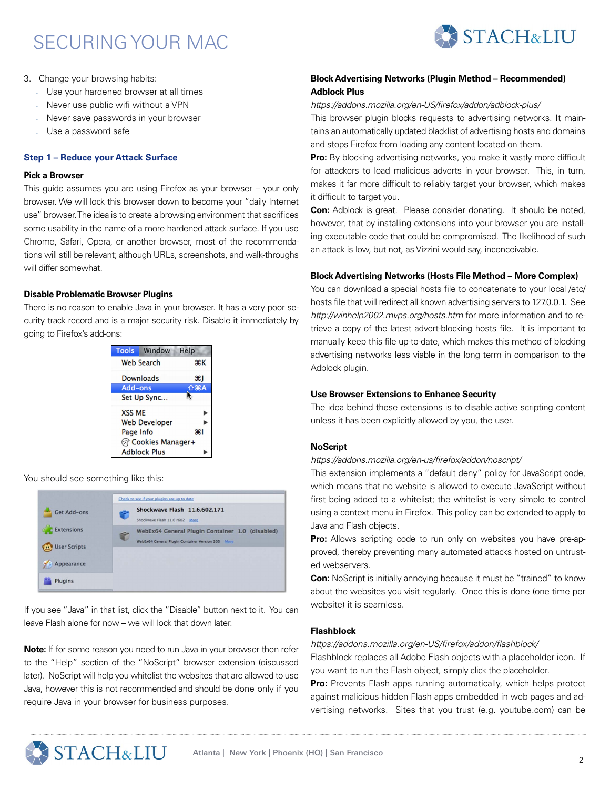

- 3. Change your browsing habits:
	- Use your hardened browser at all times
	- Never use public wifi without a VPN
	- Never save passwords in your browser
	- Use a password safe

### **Step 1 – Reduce your Attack Surface**

#### **Pick a Browser**

This guide assumes you are using Firefox as your browser – your only browser. We will lock this browser down to become your "daily Internet use" browser. The idea is to create a browsing environment that sacrifices some usability in the name of a more hardened attack surface. If you use Chrome, Safari, Opera, or another browser, most of the recommendations will still be relevant; although URLs, screenshots, and walk-throughs will differ somewhat.

# **Disable Problematic Browser Plugins**

There is no reason to enable Java in your browser. It has a very poor security track record and is a major security risk. Disable it immediately by going to Firefox's add-ons:



You should see something like this:



If you see "Java" in that list, click the "Disable" button next to it. You can leave Flash alone for now – we will lock that down later.

**Note:** If for some reason you need to run Java in your browser then refer to the "Help" section of the "NoScript" browser extension (discussed later). NoScript will help you whitelist the websites that are allowed to use Java, however this is not recommended and should be done only if you require Java in your browser for business purposes.

# **Block Advertising Networks (Plugin Method – Recommended) Adblock Plus**

#### *<https://addons.mozilla.org/en-US/firefox/addon/adblock-plus/>*

This browser plugin blocks requests to advertising networks. It maintains an automatically updated blacklist of advertising hosts and domains and stops Firefox from loading any content located on them.

**Pro:** By blocking advertising networks, you make it vastly more difficult for attackers to load malicious adverts in your browser. This, in turn, makes it far more difficult to reliably target your browser, which makes it difficult to target you.

**Con:** Adblock is great. Please consider donating. It should be noted, however, that by installing extensions into your browser you are installing executable code that could be compromised. The likelihood of such an attack is low, but not, as Vizzini would say, inconceivable.

#### **Block Advertising Networks (Hosts File Method – More Complex)**

You can download a special hosts file to concatenate to your local /etc/ hosts file that will redirect all known advertising servers to 127.0.0.1. See *http://winhelp2002.mvps.org/hosts.htm* for more information and to retrieve a copy of the latest advert-blocking hosts file. It is important to manually keep this file up-to-date, which makes this method of blocking advertising networks less viable in the long term in comparison to the Adblock plugin.

#### **Use Browser Extensions to Enhance Security**

The idea behind these extensions is to disable active scripting content unless it has been explicitly allowed by you, the user.

#### **NoScript**

*https://addons.mozilla.org/en-us/firefox/addon/noscript/*

This extension implements a "default deny" policy for JavaScript code, which means that no website is allowed to execute JavaScript without first being added to a whitelist; the whitelist is very simple to control using a context menu in Firefox. This policy can be extended to apply to Java and Flash objects.

Pro: Allows scripting code to run only on websites you have pre-approved, thereby preventing many automated attacks hosted on untrusted webservers.

**Con:** NoScript is initially annoying because it must be "trained" to know about the websites you visit regularly. Once this is done (one time per website) it is seamless.

# **Flashblock**

*https://addons.mozilla.org/en-US/firefox/addon/flashblock/*

Flashblock replaces all Adobe Flash objects with a placeholder icon. If you want to run the Flash object, simply click the placeholder.

**Pro:** Prevents Flash apps running automatically, which helps protect against malicious hidden Flash apps embedded in web pages and advertising networks. Sites that you trust (e.g. youtube.com) can be

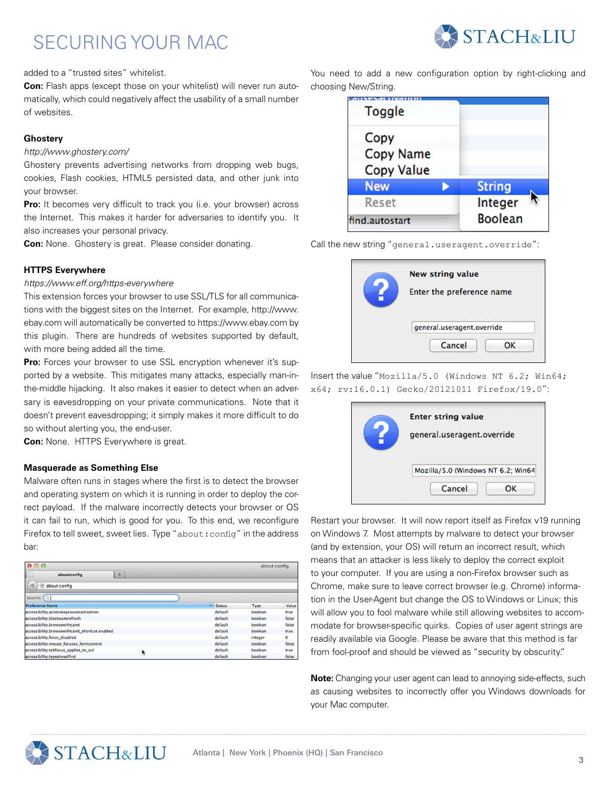

added to a "trusted sites" whitelist.

**Con:** Flash apps (except those on your whitelist) will never run automatically, which could negatively affect the usability of a small number of websites.

# **Ghostery**

# *http://www.ghostery.com/*

Ghostery prevents advertising networks from dropping web bugs, cookies, Flash cookies, HTML5 persisted data, and other junk into your browser.

**Pro:** It becomes very difficult to track you (i.e. your browser) across the Internet. This makes it harder for adversaries to identify you. It also increases your personal privacy.

**Con:** None. Ghostery is great. Please consider donating.

# **HTTPS Everywhere**

#### *https://www.eff.org/https-everywhere*

This extension forces your browser to use SSL/TLS for all communications with the biggest sites on the Internet. For example, http://www. ebay.com will automatically be converted to https://www.ebay.com by this plugin. There are hundreds of websites supported by default, with more being added all the time.

Pro: Forces your browser to use SSL encryption whenever it's supported by a website. This mitigates many attacks, especially man-inthe-middle hijacking. It also makes it easier to detect when an adversary is eavesdropping on your private communications. Note that it doesn't prevent eavesdropping; it simply makes it more difficult to do so without alerting you, the end-user.

**Con:** None. HTTPS Everywhere is great.

# **Masquerade as Something Else**

Malware often runs in stages where the first is to detect the browser and operating system on which it is running in order to deploy the correct payload. If the malware incorrectly detects your browser or OS it can fail to run, which is good for you. To this end, we reconfigure Firefox to tell sweet, sweet lies. Type "about: config" in the address bar:

| 000                                            |                    | about:config |          |
|------------------------------------------------|--------------------|--------------|----------|
| <b>COLLE</b><br>JO<br>÷<br>about:config        |                    |              |          |
| ◀<br>about:config<br>$\Theta$                  |                    |              |          |
| Search: $Q$                                    |                    |              |          |
| <b>Preference Name</b>                         | A<br><b>Status</b> | Type         | Value    |
| accessibility.accesskeycausesactivation        | default            | boolean      | true     |
| accessibility.blockautorefresh                 | default            | boolean      | false    |
| accessibility.browsewithcaret                  | default            | boolean      | false    |
| accessibility.browsewithcaret shortcut.enabled | default            | boolean      | true     |
| accessibility.force disabled                   | default            | integer      | $\bf{0}$ |
| accessibility.mouse focuses formcontrol        | default            | boolean      | false    |
| accessibility.tabfocus_applies_to_xul<br>R     | default            | boolean      | true     |
| accessibility.typeaheadfind                    | default            | boolean      | false    |

You need to add a new configuration option by right-clicking and choosing New/String.

| <b>Toggle</b>            |  |                |
|--------------------------|--|----------------|
| Copy<br><b>Copy Name</b> |  |                |
| <b>Copy Value</b>        |  |                |
| <b>New</b>               |  | <b>String</b>  |
| Reset                    |  | Integer        |
| find.autostart           |  | <b>Boolean</b> |



Call the new string "general.useragent.override":

Insert the value "Mozilla/5.0 (Windows NT 6.2; Win64; x64; rv:16.0.1) Gecko/20121011 Firefox/19.0":

| <b>Enter string value</b><br>general.useragent.override |  |  |  |  |
|---------------------------------------------------------|--|--|--|--|
| Mozilla/5.0 (Windows NT 6.2; Win64<br>Cancel<br>ΩК      |  |  |  |  |

Restart your browser. It will now report itself as Firefox v19 running on Windows 7. Most attempts by malware to detect your browser (and by extension, your OS) will return an incorrect result, which means that an attacker is less likely to deploy the correct exploit to your computer. If you are using a non-Firefox browser such as Chrome, make sure to leave correct browser (e.g. Chrome) information in the User-Agent but change the OS to Windows or Linux; this will allow you to fool malware while still allowing websites to accommodate for browser-specific quirks. Copies of user agent strings are readily available via Google. Please be aware that this method is far from fool-proof and should be viewed as "security by obscurity."

**Note:** Changing your user agent can lead to annoying side-effects, such as causing websites to incorrectly offer you Windows downloads for your Mac computer.

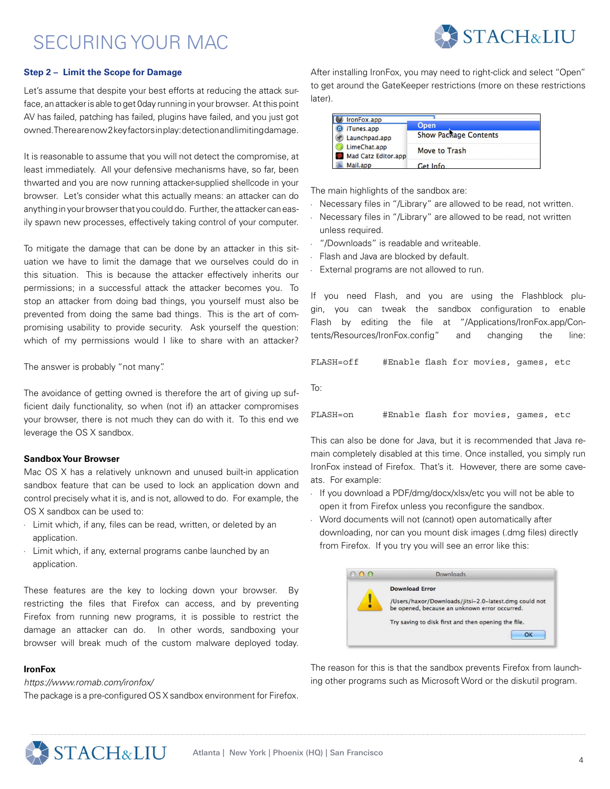

### **Step 2 – Limit the Scope for Damage**

Let's assume that despite your best efforts at reducing the attack surface, an attacker is able to get 0day running in your browser. At this point AV has failed, patching has failed, plugins have failed, and you just got owned. There are now 2 key factors in play: detection and limiting damage.

It is reasonable to assume that you will not detect the compromise, at least immediately. All your defensive mechanisms have, so far, been thwarted and you are now running attacker-supplied shellcode in your browser. Let's consider what this actually means: an attacker can do anything in your browser that you could do. Further, the attacker can easily spawn new processes, effectively taking control of your computer.

To mitigate the damage that can be done by an attacker in this situation we have to limit the damage that we ourselves could do in this situation. This is because the attacker effectively inherits our permissions; in a successful attack the attacker becomes you. To stop an attacker from doing bad things, you yourself must also be prevented from doing the same bad things. This is the art of compromising usability to provide security. Ask yourself the question: which of my permissions would I like to share with an attacker?

The answer is probably "not many".

The avoidance of getting owned is therefore the art of giving up sufficient daily functionality, so when (not if) an attacker compromises your browser, there is not much they can do with it. To this end we leverage the OS X sandbox.

#### **Sandbox Your Browser**

Mac OS X has a relatively unknown and unused built-in application sandbox feature that can be used to lock an application down and control precisely what it is, and is not, allowed to do. For example, the OS X sandbox can be used to:

- • Limit which, if any, files can be read, written, or deleted by an application.
- Limit which, if any, external programs canbe launched by an application.

These features are the key to locking down your browser. By restricting the files that Firefox can access, and by preventing Firefox from running new programs, it is possible to restrict the damage an attacker can do. In other words, sandboxing your browser will break much of the custom malware deployed today.

# **IronFox**

*https://www.romab.com/ironfox/*

The package is a pre-configured OS X sandbox environment for Firefox.

After installing IronFox, you may need to right-click and select "Open" to get around the GateKeeper restrictions (more on these restrictions later).

| IronFox.app                                                 |                                      |
|-------------------------------------------------------------|--------------------------------------|
| iTunes.app<br>Launchpad.app<br>$\left( \mathcal{P} \right)$ | Open<br><b>Show Package Contents</b> |
| LimeChat.app<br>Mad Catz Editor.app                         | Move to Trash                        |
| Mail.app                                                    | C <sub>et</sub> Info                 |

The main highlights of the sandbox are:

- Necessary files in "/Library" are allowed to be read, not written.
- Necessary files in "/Library" are allowed to be read, not written unless required.
- "/Downloads" is readable and writeable.
- Flash and Java are blocked by default.
- • External programs are not allowed to run.

If you need Flash, and you are using the Flashblock plugin, you can tweak the sandbox configuration to enable Flash by editing the file at "/Applications/IronFox.app/Contents/Resources/IronFox.config" and changing the line:

FLASH=off #Enable flash for movies, games, etc

To:

```
FLASH=on #Enable flash for movies, games, etc
```
This can also be done for Java, but it is recommended that Java remain completely disabled at this time. Once installed, you simply run IronFox instead of Firefox. That's it. However, there are some caveats. For example:

- If you download a PDF/dmg/docx/xlsx/etc you will not be able to open it from Firefox unless you reconfigure the sandbox.
- Word documents will not (cannot) open automatically after downloading, nor can you mount disk images (.dmg files) directly from Firefox. If you try you will see an error like this:

| <b>Downloads</b>                                                                                       |
|--------------------------------------------------------------------------------------------------------|
| <b>Download Error</b>                                                                                  |
| /Users/haxor/Downloads/jitsi-2.0-latest.dmg could not<br>be opened, because an unknown error occurred. |
| Try saving to disk first and then opening the file.                                                    |
| ∩ĸ                                                                                                     |

The reason for this is that the sandbox prevents Firefox from launching other programs such as Microsoft Word or the diskutil program.

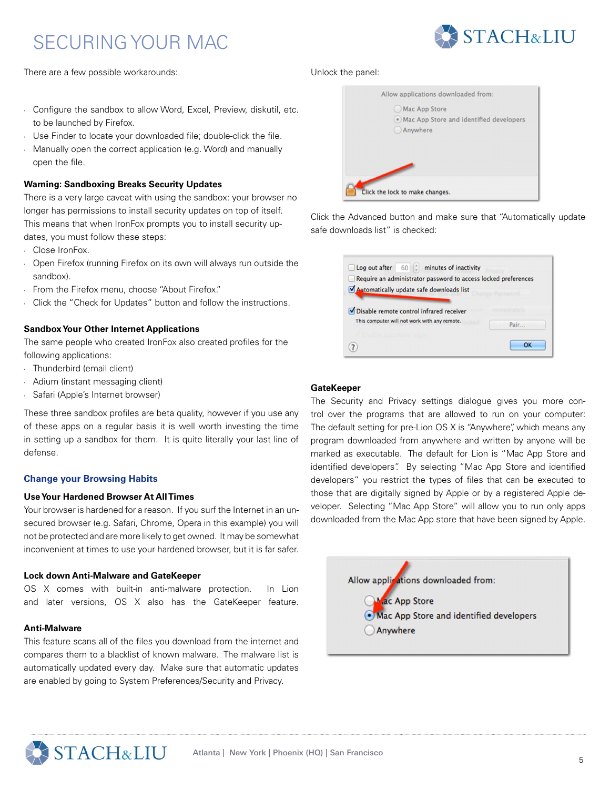

There are a few possible workarounds:

- • Configure the sandbox to allow Word, Excel, Preview, diskutil, etc. to be launched by Firefox.
- Use Finder to locate your downloaded file; double-click the file.
- Manually open the correct application (e.g. Word) and manually open the file.

# **Warning: Sandboxing Breaks Security Updates**

There is a very large caveat with using the sandbox: your browser no longer has permissions to install security updates on top of itself. This means that when IronFox prompts you to install security updates, you must follow these steps:

- • Close IronFox.
- Open Firefox (running Firefox on its own will always run outside the sandbox).
- From the Firefox menu, choose "About Firefox."
- Click the "Check for Updates" button and follow the instructions.

# **Sandbox Your Other Internet Applications**

The same people who created IronFox also created profiles for the following applications:

- • Thunderbird (email client)
- • Adium (instant messaging client)
- • Safari (Apple's Internet browser)

These three sandbox profiles are beta quality, however if you use any of these apps on a regular basis it is well worth investing the time in setting up a sandbox for them. It is quite literally your last line of defense.

# **Change your Browsing Habits**

#### **Use Your Hardened Browser At All Times**

Your browser is hardened for a reason. If you surf the Internet in an unsecured browser (e.g. Safari, Chrome, Opera in this example) you will not be protected and are more likely to get owned. It may be somewhat inconvenient at times to use your hardened browser, but it is far safer.

#### **Lock down Anti-Malware and GateKeeper**

OS X comes with built-in anti-malware protection. In Lion and later versions, OS X also has the GateKeeper feature.

#### **Anti-Malware**

This feature scans all of the files you download from the internet and compares them to a blacklist of known malware. The malware list is automatically updated every day. Make sure that automatic updates are enabled by going to System Preferences/Security and Privacy.

#### Unlock the panel:

| Allow applications downloaded from:       |
|-------------------------------------------|
| Mac App Store                             |
| • Mac App Store and identified developers |
| Anywhere                                  |
|                                           |
|                                           |
|                                           |
|                                           |
| Click the lock to make changes.           |

Click the Advanced button and make sure that "Automatically update safe downloads list" is checked:

| Log out after 60   minutes of inactivity<br>Require an administrator password to access locked preferences<br>Automatically update safe downloads list |      |
|--------------------------------------------------------------------------------------------------------------------------------------------------------|------|
| Disable remote control infrared receiver<br>This computer will not work with any remote.                                                               | Pair |
|                                                                                                                                                        | OK   |

### **GateKeeper**

The Security and Privacy settings dialogue gives you more control over the programs that are allowed to run on your computer: The default setting for pre-Lion OS X is "Anywhere", which means any program downloaded from anywhere and written by anyone will be marked as executable. The default for Lion is "Mac App Store and identified developers". By selecting "Mac App Store and identified developers" you restrict the types of files that can be executed to those that are digitally signed by Apple or by a registered Apple developer. Selecting "Mac App Store" will allow you to run only apps downloaded from the Mac App store that have been signed by Apple.



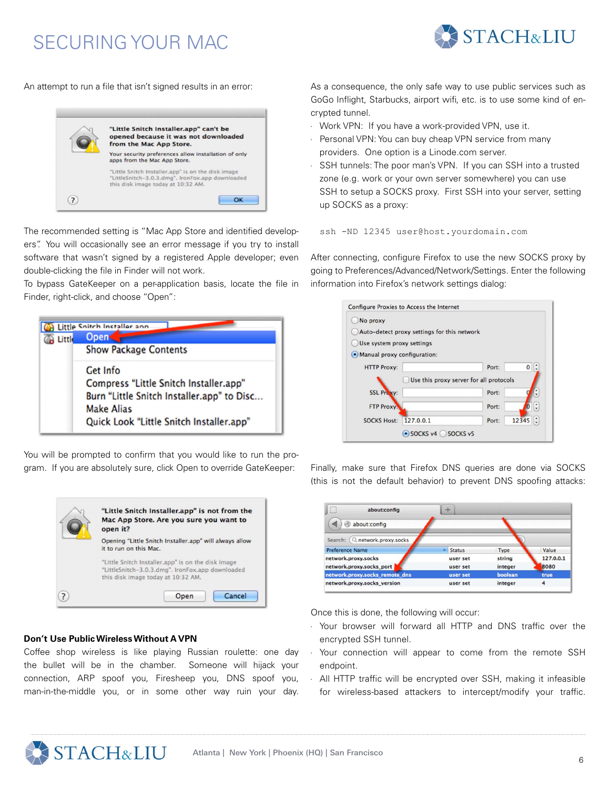

An attempt to run a file that isn't signed results in an error:



The recommended setting is "Mac App Store and identified developers". You will occasionally see an error message if you try to install software that wasn't signed by a registered Apple developer; even double-clicking the file in Finder will not work.

To bypass GateKeeper on a per-application basis, locate the file in Finder, right-click, and choose "Open":



You will be prompted to confirm that you would like to run the program. If you are absolutely sure, click Open to override GateKeeper:



# **Don't Use Public Wireless Without A VPN**

Coffee shop wireless is like playing Russian roulette: one day the bullet will be in the chamber. Someone will hijack your connection, ARP spoof you, Firesheep you, DNS spoof you, man-in-the-middle you, or in some other way ruin your day. As a consequence, the only safe way to use public services such as GoGo Inflight, Starbucks, airport wifi, etc. is to use some kind of encrypted tunnel.

- Work VPN: If you have a work-provided VPN, use it.
- Personal VPN: You can buy cheap VPN service from many providers. One option is a Linode.com server.
- SSH tunnels: The poor man's VPN. If you can SSH into a trusted zone (e.g. work or your own server somewhere) you can use SSH to setup a SOCKS proxy. First SSH into your server, setting up SOCKS as a proxy:

ssh -ND 12345 user@host.yourdomain.com

After connecting, configure Firefox to use the new SOCKS proxy by going to Preferences/Advanced/Network/Settings. Enter the following information into Firefox's network settings dialog:



Finally, make sure that Firefox DNS queries are done via SOCKS (this is not the default behavior) to prevent DNS spoofing attacks:

| about:config                     | d-                        |         |           |
|----------------------------------|---------------------------|---------|-----------|
| about:config                     |                           |         |           |
| Q network.proxy.socks<br>Search: |                           |         |           |
| <b>Preference Name</b>           | <b>Status</b><br>$\Delta$ | Type    | Value     |
| network.proxy.socks              | user set                  | string  | 127.0.0.1 |
| network.proxy.socks_port         | user set                  | integer | 8080      |
| network.proxy.socks_remote_dns   | user set                  | boolean | true      |
| network.proxy.socks_version      | user set                  | integer | 4         |

Once this is done, the following will occur:

- Your browser will forward all HTTP and DNS traffic over the encrypted SSH tunnel.
- Your connection will appear to come from the remote SSH endpoint.
- All HTTP traffic will be encrypted over SSH, making it infeasible for wireless-based attackers to intercept/modify your traffic.